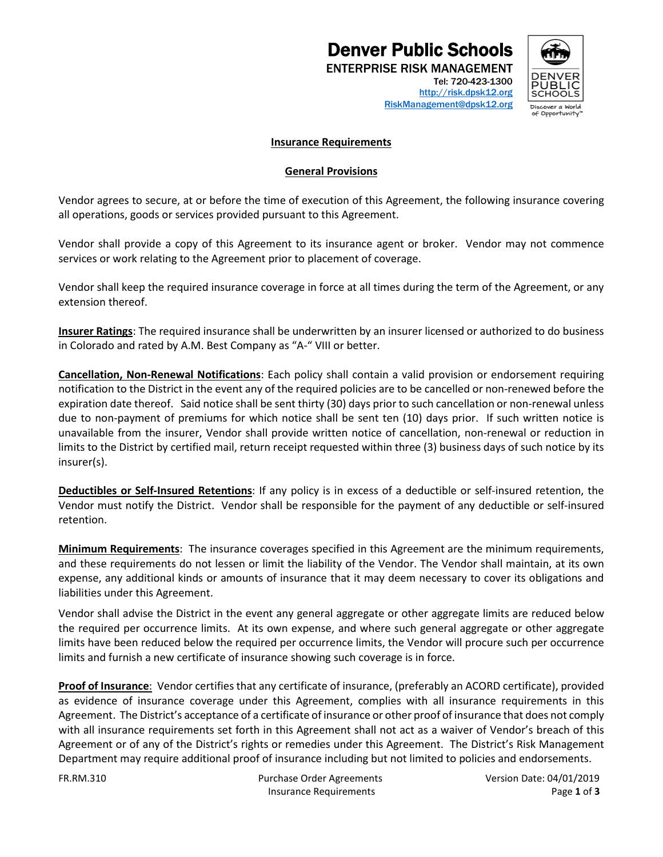# **Denver Public Schools**<br>ENTERPRISE RISK MANAGEMENT



Tel: 720-423-1300 [http://risk.dpsk12.org](https://financialservices.dpsk12.org/risk-management/) [RiskManagement@dpsk12.org](mailto:RiskManagement@dpsk12.org)

#### **Insurance Requirements**

#### **General Provisions**

Vendor agrees to secure, at or before the time of execution of this Agreement, the following insurance covering all operations, goods or services provided pursuant to this Agreement.

Vendor shall provide a copy of this Agreement to its insurance agent or broker. Vendor may not commence services or work relating to the Agreement prior to placement of coverage.

Vendor shall keep the required insurance coverage in force at all times during the term of the Agreement, or any extension thereof.

**Insurer Ratings**: The required insurance shall be underwritten by an insurer licensed or authorized to do business in Colorado and rated by A.M. Best Company as "A-" VIII or better.

**Cancellation, Non-Renewal Notifications**: Each policy shall contain a valid provision or endorsement requiring notification to the District in the event any of the required policies are to be cancelled or non-renewed before the expiration date thereof. Said notice shall be sent thirty (30) days prior to such cancellation or non-renewal unless due to non-payment of premiums for which notice shall be sent ten (10) days prior. If such written notice is unavailable from the insurer, Vendor shall provide written notice of cancellation, non-renewal or reduction in limits to the District by certified mail, return receipt requested within three (3) business days of such notice by its insurer(s).

**Deductibles or Self-Insured Retentions**: If any policy is in excess of a deductible or self-insured retention, the Vendor must notify the District. Vendor shall be responsible for the payment of any deductible or self-insured retention.

**Minimum Requirements**: The insurance coverages specified in this Agreement are the minimum requirements, and these requirements do not lessen or limit the liability of the Vendor. The Vendor shall maintain, at its own expense, any additional kinds or amounts of insurance that it may deem necessary to cover its obligations and liabilities under this Agreement.

Vendor shall advise the District in the event any general aggregate or other aggregate limits are reduced below the required per occurrence limits. At its own expense, and where such general aggregate or other aggregate limits have been reduced below the required per occurrence limits, the Vendor will procure such per occurrence limits and furnish a new certificate of insurance showing such coverage is in force.

**Proof of Insurance**:Vendor certifies that any certificate of insurance, (preferably an ACORD certificate), provided as evidence of insurance coverage under this Agreement, complies with all insurance requirements in this Agreement. The District's acceptance of a certificate of insurance or other proof of insurance that does not comply with all insurance requirements set forth in this Agreement shall not act as a waiver of Vendor's breach of this Agreement or of any of the District's rights or remedies under this Agreement. The District's Risk Management Department may require additional proof of insurance including but not limited to policies and endorsements.

FR.RM.310 Purchase Order Agreements Version Date: 04/01/2019 Insurance Requirements Page **1** of **3**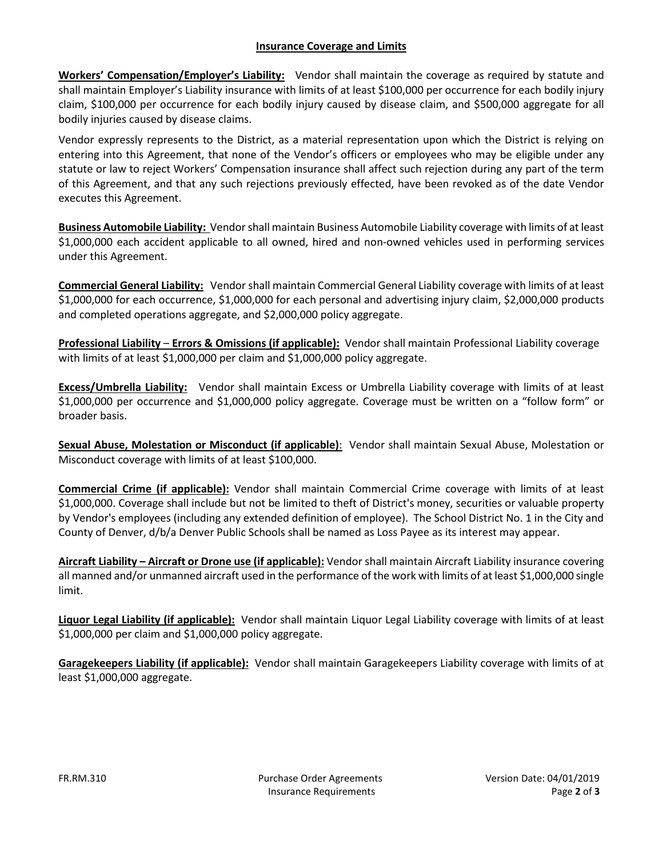### **Insurance Coverage and Limits**

**Workers' Compensation/Employer's Liability:** Vendor shall maintain the coverage as required by statute and shall maintain Employer's Liability insurance with limits of at least \$100,000 per occurrence for each bodily injury claim, \$100,000 per occurrence for each bodily injury caused by disease claim, and \$500,000 aggregate for all bodily injuries caused by disease claims.

Vendor expressly represents to the District, as a material representation upon which the District is relying on entering into this Agreement, that none of the Vendor's officers or employees who may be eligible under any statute or law to reject Workers' Compensation insurance shall affect such rejection during any part of the term of this Agreement, and that any such rejections previously effected, have been revoked as of the date Vendor executes this Agreement.

**Business Automobile Liability:** Vendorshall maintain Business Automobile Liability coverage with limits of at least \$1,000,000 each accident applicable to all owned, hired and non-owned vehicles used in performing services under this Agreement.

**Commercial General Liability:** Vendorshall maintain Commercial General Liability coverage with limits of at least \$1,000,000 for each occurrence, \$1,000,000 for each personal and advertising injury claim, \$2,000,000 products and completed operations aggregate, and \$2,000,000 policy aggregate.

**Professional Liability** – **Errors & Omissions (if applicable):** Vendor shall maintain Professional Liability coverage with limits of at least \$1,000,000 per claim and \$1,000,000 policy aggregate.

**Excess/Umbrella Liability:** Vendor shall maintain Excess or Umbrella Liability coverage with limits of at least \$1,000,000 per occurrence and \$1,000,000 policy aggregate. Coverage must be written on a "follow form" or broader basis.

**Sexual Abuse, Molestation or Misconduct (if applicable)**: Vendor shall maintain Sexual Abuse, Molestation or Misconduct coverage with limits of at least \$100,000.

**Commercial Crime (if applicable):** Vendor shall maintain Commercial Crime coverage with limits of at least \$1,000,000. Coverage shall include but not be limited to theft of District's money, securities or valuable property by Vendor's employees (including any extended definition of employee). The School District No. 1 in the City and County of Denver, d/b/a Denver Public Schools shall be named as Loss Payee as its interest may appear.

**Aircraft Liability – Aircraft or Drone use (if applicable):** Vendor shall maintain Aircraft Liability insurance covering all manned and/or unmanned aircraft used in the performance of the work with limits of at least \$1,000,000 single limit.

**Liquor Legal Liability (if applicable):** Vendor shall maintain Liquor Legal Liability coverage with limits of at least \$1,000,000 per claim and \$1,000,000 policy aggregate.

**Garagekeepers Liability (if applicable):** Vendor shall maintain Garagekeepers Liability coverage with limits of at least \$1,000,000 aggregate.